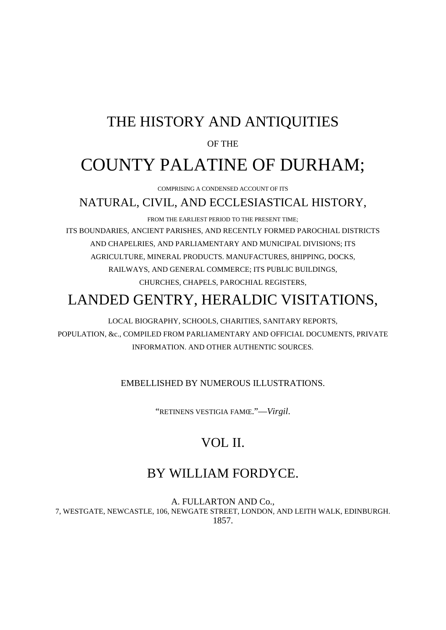## THE HISTORY AND ANTIQUITIES

#### OF THE

# COUNTY PALATINE OF DURHAM;

COMPRISING A CONDENSED ACCOUNT OF ITS

### NATURAL, CIVIL, AND ECCLESIASTICAL HISTORY,

FROM THE EARLIEST PERIOD TO THE PRESENT TIME; ITS BOUNDARIES, ANCIENT PARISHES, AND RECENTLY FORMED PAROCHIAL DISTRICTS AND CHAPELRIES, AND PARLIAMENTARY AND MUNICIPAL DIVISIONS; ITS AGRICULTURE, MINERAL PRODUCTS. MANUFACTURES, 8HIPPING, DOCKS, RAILWAYS, AND GENERAL COMMERCE; ITS PUBLIC BUILDINGS, CHURCHES, CHAPELS, PAROCHIAL REGISTERS,

## LANDED GENTRY, HERALDIC VISITATIONS,

LOCAL BIOGRAPHY, SCHOOLS, CHARITIES, SANITARY REPORTS, POPULATION, &c., COMPILED FROM PARLIAMENTARY AND OFFICIAL DOCUMENTS, PRIVATE INFORMATION. AND OTHER AUTHENTIC SOURCES.

#### EMBELLISHED BY NUMEROUS ILLUSTRATIONS.

"RETINENS VESTIGIA FAMŒ."—*Virgil*.

### VOL II.

### BY WILLIAM FORDYCE.

A. FULLARTON AND Co., 7, WESTGATE, NEWCASTLE, 106, NEWGATE STREET, LONDON, AND LEITH WALK, EDINBURGH. 1857.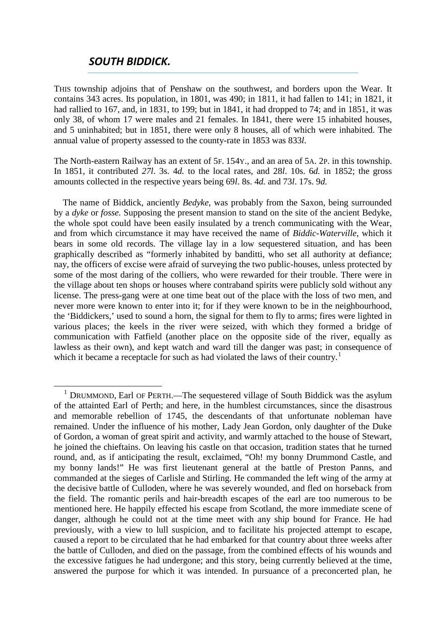#### *SOUTH BIDDICK.*

THIS township adjoins that of Penshaw on the southwest, and borders upon the Wear. It contains 343 acres. Its population, in 1801, was 490; in 1811, it had fallen to 141; in 1821, it had rallied to 167, and, in 1831, to 199; but in 1841, it had dropped to 74; and in 1851, it was only 38, of whom 17 were males and 21 females. In 1841, there were 15 inhabited houses, and 5 uninhabited; but in 1851, there were only 8 houses, all of which were inhabited. The annual value of property assessed to the county-rate in 1853 was 833*l*.

The North-eastern Railway has an extent of 5F. 154Y., and an area of 5A. 2P. in this township. In 1851, it contributed *27l*. 3s. 4*d.* to the local rates, and 28*l*. 10s. 6*d.* in 1852; the gross amounts collected in the respective years being 69*l*. 8s. 4*d.* and 73*l*. 17s. 9*d.*

The name of Biddick, anciently *Bedyke,* was probably from the Saxon, being surrounded by a *dyke* or *fosse.* Supposing the present mansion to stand on the site of the ancient Bedyke, the whole spot could have been easily insulated by a trench communicating with the Wear, and from which circumstance it may have received the name of *Biddic-Waterville,* which it bears in some old records. The village lay in a low sequestered situation, and has been graphically described as "formerly inhabited by banditti, who set all authority at defiance; nay, the officers of excise were afraid of surveying the two public-houses, unless protected by some of the most daring of the colliers, who were rewarded for their trouble. There were in the village about ten shops or houses where contraband spirits were publicly sold without any license. The press-gang were at one time beat out of the place with the loss of two men, and never more were known to enter into it; for if they were known to be in the neighbourhood, the 'Biddickers,' used to sound a horn, the signal for them to fly to arms; fires were lighted in various places; the keels in the river were seized, with which they formed a bridge of communication with Fatfield (another place on the opposite side of the river, equally as lawless as their own), and kept watch and ward till the danger was past; in consequence of which it became a receptacle for such as had violated the laws of their country.<sup>[1](#page-2-0)</sup>

<span id="page-2-0"></span><sup>&</sup>lt;sup>1</sup> DRUMMOND, Earl OF PERTH.—The sequestered village of South Biddick was the asylum of the attainted Earl of Perth; and here, in the humblest circumstances, since the disastrous and memorable rebellion of 1745, the descendants of that unfortunate nobleman have remained. Under the influence of his mother, Lady Jean Gordon, only daughter of the Duke of Gordon, a woman of great spirit and activity, and warmly attached to the house of Stewart, he joined the chieftains. On leaving his castle on that occasion, tradition states that he turned round, and, as if anticipating the result, exclaimed, "Oh! my bonny Drummond Castle, and my bonny lands!" He was first lieutenant general at the battle of Preston Panns, and commanded at the sieges of Carlisle and Stirling. He commanded the left wing of the army at the decisive battle of Culloden, where he was severely wounded, and fled on horseback from the field. The romantic perils and hair-breadth escapes of the earl are too numerous to be mentioned here. He happily effected his escape from Scotland, the more immediate scene of danger, although he could not at the time meet with any ship bound for France. He had previously, with a view to lull suspicion, and to facilitate his projected attempt to escape, caused a report to be circulated that he had embarked for that country about three weeks after the battle of Culloden, and died on the passage, from the combined effects of his wounds and the excessive fatigues he had undergone; and this story, being currently believed at the time, answered the purpose for which it was intended. In pursuance of a preconcerted plan, he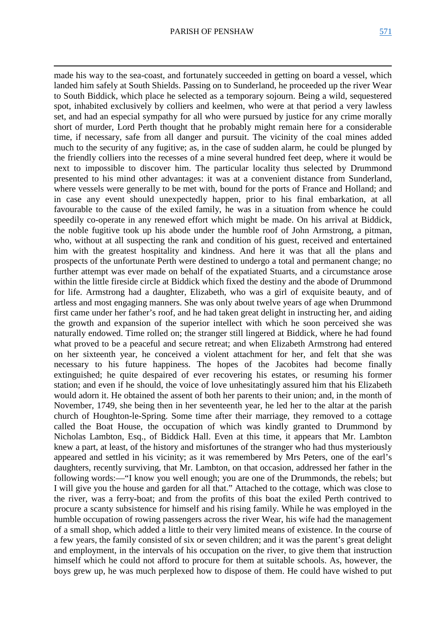**.** 

made his way to the sea-coast, and fortunately succeeded in getting on board a vessel, which landed him safely at South Shields. Passing on to Sunderland, he proceeded up the river Wear to South Biddick, which place he selected as a temporary sojourn. Being a wild, sequestered spot, inhabited exclusively by colliers and keelmen, who were at that period a very lawless set, and had an especial sympathy for all who were pursued by justice for any crime morally short of murder, Lord Perth thought that he probably might remain here for a considerable time, if necessary, safe from all danger and pursuit. The vicinity of the coal mines added much to the security of any fugitive; as, in the case of sudden alarm, he could be plunged by the friendly colliers into the recesses of a mine several hundred feet deep, where it would be next to impossible to discover him. The particular locality thus selected by Drummond presented to his mind other advantages: it was at a convenient distance from Sunderland, where vessels were generally to be met with, bound for the ports of France and Holland; and in case any event should unexpectedly happen, prior to his final embarkation, at all favourable to the cause of the exiled family, he was in a situation from whence he could speedily co-operate in any renewed effort which might be made. On his arrival at Biddick, the noble fugitive took up his abode under the humble roof of John Armstrong, a pitman, who, without at all suspecting the rank and condition of his guest, received and entertained him with the greatest hospitality and kindness. And here it was that all the plans and prospects of the unfortunate Perth were destined to undergo a total and permanent change; no further attempt was ever made on behalf of the expatiated Stuarts, and a circumstance arose within the little fireside circle at Biddick which fixed the destiny and the abode of Drummond for life. Armstrong had a daughter, Elizabeth, who was a girl of exquisite beauty, and of artless and most engaging manners. She was only about twelve years of age when Drummond first came under her father's roof, and he had taken great delight in instructing her, and aiding the growth and expansion of the superior intellect with which he soon perceived she was naturally endowed. Time rolled on; the stranger still lingered at Biddick, where he had found what proved to be a peaceful and secure retreat; and when Elizabeth Armstrong had entered on her sixteenth year, he conceived a violent attachment for her, and felt that she was necessary to his future happiness. The hopes of the Jacobites had become finally extinguished; he quite despaired of ever recovering his estates, or resuming his former station; and even if he should, the voice of love unhesitatingly assured him that his Elizabeth would adorn it. He obtained the assent of both her parents to their union; and, in the month of November, 1749, she being then in her seventeenth year, he led her to the altar at the parish church of Houghton-le-Spring. Some time after their marriage, they removed to a cottage called the Boat House, the occupation of which was kindly granted to Drummond by Nicholas Lambton, Esq., of Biddick Hall. Even at this time, it appears that Mr. Lambton knew a part, at least, of the history and misfortunes of the stranger who had thus mysteriously appeared and settled in his vicinity; as it was remembered by Mrs Peters, one of the earl's daughters, recently surviving, that Mr. Lambton, on that occasion, addressed her father in the following words:—"I know you well enough; you are one of the Drummonds, the rebels; but I will give you the house and garden for all that." Attached to the cottage, which was close to the river, was a ferry-boat; and from the profits of this boat the exiled Perth contrived to procure a scanty subsistence for himself and his rising family. While he was employed in the humble occupation of rowing passengers across the river Wear, his wife had the management of a small shop, which added a little to their very limited means of existence. In the course of a few years, the family consisted of six or seven children; and it was the parent's great delight and employment, in the intervals of his occupation on the river, to give them that instruction himself which he could not afford to procure for them at suitable schools. As, however, the boys grew up, he was much perplexed how to dispose of them. He could have wished to put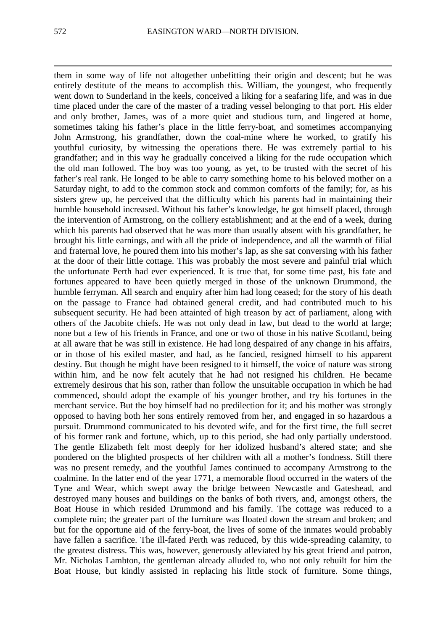them in some way of life not altogether unbefitting their origin and descent; but he was entirely destitute of the means to accomplish this. William, the youngest, who frequently went down to Sunderland in the keels, conceived a liking for a seafaring life, and was in due time placed under the care of the master of a trading vessel belonging to that port. His elder and only brother, James, was of a more quiet and studious turn, and lingered at home, sometimes taking his father's place in the little ferry-boat, and sometimes accompanying John Armstrong, his grandfather, down the coal-mine where he worked, to gratify his youthful curiosity, by witnessing the operations there. He was extremely partial to his grandfather; and in this way he gradually conceived a liking for the rude occupation which the old man followed. The boy was too young, as yet, to be trusted with the secret of his father's real rank. He longed to be able to carry something home to his beloved mother on a Saturday night, to add to the common stock and common comforts of the family; for, as his sisters grew up, he perceived that the difficulty which his parents had in maintaining their humble household increased. Without his father's knowledge, he got himself placed, through the intervention of Armstrong, on the colliery establishment; and at the end of a week, during which his parents had observed that he was more than usually absent with his grandfather, he brought his little earnings, and with all the pride of independence, and all the warmth of filial and fraternal love, he poured them into his mother's lap, as she sat conversing with his father at the door of their little cottage. This was probably the most severe and painful trial which the unfortunate Perth had ever experienced. It is true that, for some time past, his fate and fortunes appeared to have been quietly merged in those of the unknown Drummond, the humble ferryman. All search and enquiry after him had long ceased; for the story of his death on the passage to France had obtained general credit, and had contributed much to his subsequent security. He had been attainted of high treason by act of parliament, along with others of the Jacobite chiefs. He was not only dead in law, but dead to the world at large; none but a few of his friends in France, and one or two of those in his native Scotland, being at all aware that he was still in existence. He had long despaired of any change in his affairs, or in those of his exiled master, and had, as he fancied, resigned himself to his apparent destiny. But though he might have been resigned to it himself, the voice of nature was strong within him, and he now felt acutely that he had not resigned his children. He became extremely desirous that his son, rather than follow the unsuitable occupation in which he had commenced, should adopt the example of his younger brother, and try his fortunes in the merchant service. But the boy himself had no predilection for it; and his mother was strongly opposed to having both her sons entirely removed from her, and engaged in so hazardous a pursuit. Drummond communicated to his devoted wife, and for the first time, the full secret of his former rank and fortune, which, up to this period, she had only partially understood. The gentle Elizabeth felt most deeply for her idolized husband's altered state; and she pondered on the blighted prospects of her children with all a mother's fondness. Still there was no present remedy, and the youthful James continued to accompany Armstrong to the coalmine. In the latter end of the year 1771, a memorable flood occurred in the waters of the Tyne and Wear, which swept away the bridge between Newcastle and Gateshead, and destroyed many houses and buildings on the banks of both rivers, and, amongst others, the Boat House in which resided Drummond and his family. The cottage was reduced to a complete ruin; the greater part of the furniture was floated down the stream and broken; and but for the opportune aid of the ferry-boat, the lives of some of the inmates would probably have fallen a sacrifice. The ill-fated Perth was reduced, by this wide-spreading calamity, to the greatest distress. This was, however, generously alleviated by his great friend and patron, Mr. Nicholas Lambton, the gentleman already alluded to, who not only rebuilt for him the Boat House, but kindly assisted in replacing his little stock of furniture. Some things,

**.**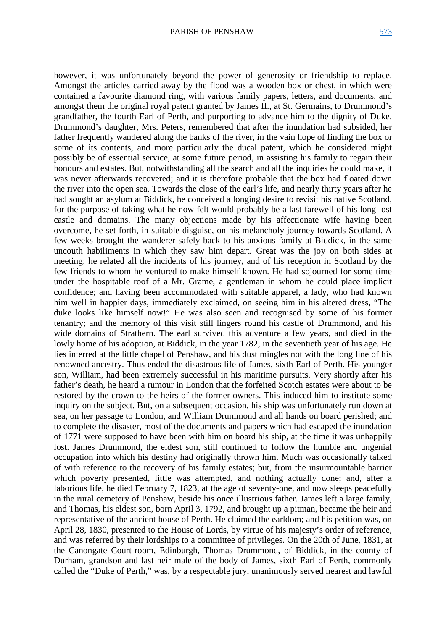**.** 

however, it was unfortunately beyond the power of generosity or friendship to replace. Amongst the articles carried away by the flood was a wooden box or chest, in which were contained a favourite diamond ring, with various family papers, letters, and documents, and amongst them the original royal patent granted by James II., at St. Germains, to Drummond's grandfather, the fourth Earl of Perth, and purporting to advance him to the dignity of Duke. Drummond's daughter, Mrs. Peters, remembered that after the inundation had subsided, her father frequently wandered along the banks of the river, in the vain hope of finding the box or some of its contents, and more particularly the ducal patent, which he considered might possibly be of essential service, at some future period, in assisting his family to regain their honours and estates. But, notwithstanding all the search and all the inquiries he could make, it was never afterwards recovered; and it is therefore probable that the box had floated down the river into the open sea. Towards the close of the earl's life, and nearly thirty years after he had sought an asylum at Biddick, he conceived a longing desire to revisit his native Scotland, for the purpose of taking what he now felt would probably be a last farewell of his long-lost castle and domains. The many objections made by his affectionate wife having been overcome, he set forth, in suitable disguise, on his melancholy journey towards Scotland. A few weeks brought the wanderer safely back to his anxious family at Biddick, in the same uncouth habiliments in which they saw him depart. Great was the joy on both sides at meeting: he related all the incidents of his journey, and of his reception in Scotland by the few friends to whom he ventured to make himself known. He had sojourned for some time under the hospitable roof of a Mr. Grame, a gentleman in whom he could place implicit confidence; and having been accommodated with suitable apparel, a lady, who had known him well in happier days, immediately exclaimed, on seeing him in his altered dress, "The duke looks like himself now!" He was also seen and recognised by some of his former tenantry; and the memory of this visit still lingers round his castle of Drummond, and his wide domains of Strathern. The earl survived this adventure a few years, and died in the lowly home of his adoption, at Biddick, in the year 1782, in the seventieth year of his age. He lies interred at the little chapel of Penshaw, and his dust mingles not with the long line of his renowned ancestry. Thus ended the disastrous life of James, sixth Earl of Perth. His younger son, William, had been extremely successful in his maritime pursuits. Very shortly after his father's death, he heard a rumour in London that the forfeited Scotch estates were about to be restored by the crown to the heirs of the former owners. This induced him to institute some inquiry on the subject. But, on a subsequent occasion, his ship was unfortunately run down at sea, on her passage to London, and William Drummond and all hands on board perished; and to complete the disaster, most of the documents and papers which had escaped the inundation of 1771 were supposed to have been with him on board his ship, at the time it was unhappily lost. James Drummond, the eldest son, still continued to follow the humble and ungenial occupation into which his destiny had originally thrown him. Much was occasionally talked of with reference to the recovery of his family estates; but, from the insurmountable barrier which poverty presented, little was attempted, and nothing actually done; and, after a laborious life, he died February 7, 1823, at the age of seventy-one, and now sleeps peacefully in the rural cemetery of Penshaw, beside his once illustrious father. James left a large family, and Thomas, his eldest son, born April 3, 1792, and brought up a pitman, became the heir and representative of the ancient house of Perth. He claimed the earldom; and his petition was, on April 28, 1830, presented to the House of Lords, by virtue of his majesty's order of reference, and was referred by their lordships to a committee of privileges. On the 20th of June, 1831, at the Canongate Court-room, Edinburgh, Thomas Drummond, of Biddick, in the county of Durham, grandson and last heir male of the body of James, sixth Earl of Perth, commonly called the "Duke of Perth," was, by a respectable jury, unanimously served nearest and lawful